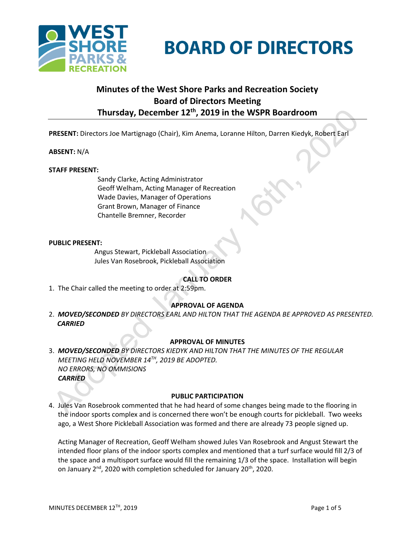

# **BOARD OF DIRECTORS**

# **Minutes of the West Shore Parks and Recreation Society Board of Directors Meeting Thursday, December 12th, 2019 in the WSPR Boardroom**

**PRESENT:** Directors Joe Martignago (Chair), Kim Anema, Loranne Hilton, Darren Kiedyk, Robert Earl

# **ABSENT:** N/A

#### **STAFF PRESENT:**

Sandy Clarke, Acting Administrator Geoff Welham, Acting Manager of Recreation Wade Davies, Manager of Operations Grant Brown, Manager of Finance Chantelle Bremner, Recorder

#### **PUBLIC PRESENT:**

Angus Stewart, Pickleball Association Jules Van Rosebrook, Pickleball Association

# **CALL TO ORDER**

1. The Chair called the meeting to order at 2:59pm.

# **APPROVAL OF AGENDA**

2. 2. *MOVED/SECONDED BY DIRECTORS EARL AND HILTON THAT THE AGENDA BE APPROVED AS PRESENTED. CARRIED*

# **APPROVAL OF MINUTES**

3. *MOVED/SECONDED BY DIRECTORS KIEDYK AND HILTON THAT THE MINUTES OF THE REGULAR MEETING HELD NOVEMBER 14TH, 2019 BE ADOPTED. NO ERRORS, NO OMMISIONS CARRIED*

#### **PUBLIC PARTICIPATION**

4. Jules Van Rosebrook commented that he had heard of some changes being made to the flooring in the indoor sports complex and is concerned there won't be enough courts for pickleball. Two weeks ago, a West Shore Pickleball Association was formed and there are already 73 people signed up.

Acting Manager of Recreation, Geoff Welham showed Jules Van Rosebrook and Angust Stewart the intended floor plans of the indoor sports complex and mentioned that a turf surface would fill 2/3 of the space and a multisport surface would fill the remaining 1/3 of the space. Installation will begin on January  $2^{nd}$ , 2020 with completion scheduled for January 20<sup>th</sup>, 2020.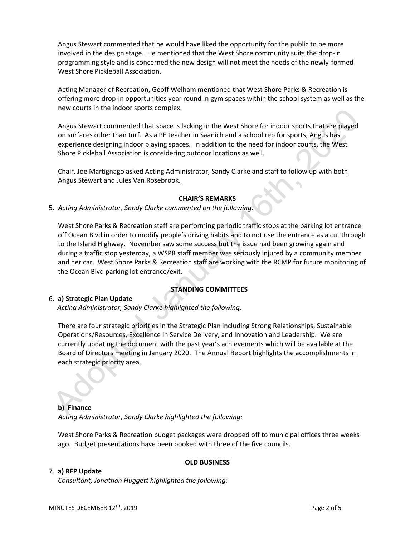Angus Stewart commented that he would have liked the opportunity for the public to be more involved in the design stage. He mentioned that the West Shore community suits the drop-in programming style and is concerned the new design will not meet the needs of the newly-formed West Shore Pickleball Association.

Acting Manager of Recreation, Geoff Welham mentioned that West Shore Parks & Recreation is offering more drop-in opportunities year round in gym spaces within the school system as well as the new courts in the indoor sports complex.

Angus Stewart commented that space is lacking in the West Shore for indoor sports that are played on surfaces other than turf. As a PE teacher in Saanich and a school rep for sports, Angus has experience designing indoor playing spaces. In addition to the need for indoor courts, the West Shore Pickleball Association is considering outdoor locations as well.

Chair, Joe Martignago asked Acting Administrator, Sandy Clarke and staff to follow up with both Angus Stewart and Jules Van Rosebrook.

#### **CHAIR'S REMARKS**

5. *Acting Administrator, Sandy Clarke commented on the following:*

West Shore Parks & Recreation staff are performing periodic traffic stops at the parking lot entrance off Ocean Blvd in order to modify people's driving habits and to not use the entrance as a cut through to the Island Highway. November saw some success but the issue had been growing again and during a traffic stop yesterday, a WSPR staff member was seriously injured by a community member and her car. West Shore Parks & Recreation staff are working with the RCMP for future monitoring of the Ocean Blvd parking lot entrance/exit.

# **STANDING COMMITTEES**

#### 6. **a) Strategic Plan Update**

*Acting Administrator, Sandy Clarke highlighted the following:*

There are four strategic priorities in the Strategic Plan including Strong Relationships, Sustainable Operations/Resources, Excellence in Service Delivery, and Innovation and Leadership. We are currently updating the document with the past year's achievements which will be available at the Board of Directors meeting in January 2020. The Annual Report highlights the accomplishments in each strategic priority area.

# **b) Finance** *Acting Administrator, Sandy Clarke highlighted the following:*

West Shore Parks & Recreation budget packages were dropped off to municipal offices three weeks ago. Budget presentations have been booked with three of the five councils.

**OLD BUSINESS**

# 7. **a) RFP Update**

*Consultant, Jonathan Huggett highlighted the following:*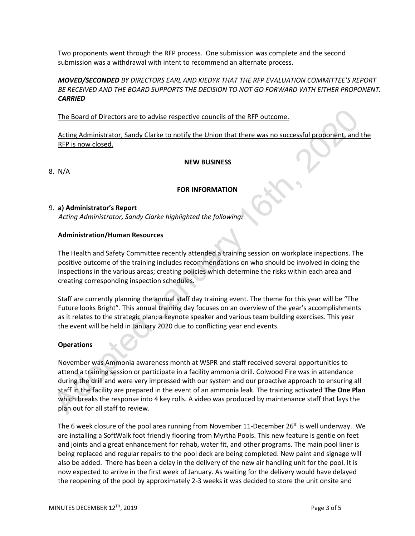Two proponents went through the RFP process. One submission was complete and the second submission was a withdrawal with intent to recommend an alternate process.

# *MOVED/SECONDED BY DIRECTORS EARL AND KIEDYK THAT THE RFP EVALUATION COMMITTEE'S REPORT BE RECEIVED AND THE BOARD SUPPORTS THE DECISION TO NOT GO FORWARD WITH EITHER PROPONENT. CARRIED*

The Board of Directors are to advise respective councils of the RFP outcome.

Acting Administrator, Sandy Clarke to notify the Union that there was no successful proponent, and the RFP is now closed.

#### **NEW BUSINESS**

8.N/A

# **FOR INFORMATION**

# 9. **a) Administrator's Report**

*Acting Administrator, Sandy Clarke highlighted the following:*

#### **Administration/Human Resources**

The Health and Safety Committee recently attended a training session on workplace inspections. The positive outcome of the training includes recommendations on who should be involved in doing the inspections in the various areas; creating policies which determine the risks within each area and creating corresponding inspection schedules.

Staff are currently planning the annual staff day training event. The theme for this year will be "The Future looks Bright". This annual training day focuses on an overview of the year's accomplishments as it relates to the strategic plan; a keynote speaker and various team building exercises. This year the event will be held in January 2020 due to conflicting year end events.

# **Operations**

November was Ammonia awareness month at WSPR and staff received several opportunities to attend a training session or participate in a facility ammonia drill. Colwood Fire was in attendance during the drill and were very impressed with our system and our proactive approach to ensuring all staff in the facility are prepared in the event of an ammonia leak. The training activated **The One Plan** which breaks the response into 4 key rolls. A video was produced by maintenance staff that lays the plan out for all staff to review.

The 6 week closure of the pool area running from November 11-December 26<sup>th</sup> is well underway. We are installing a SoftWalk foot friendly flooring from Myrtha Pools. This new feature is gentle on feet and joints and a great enhancement for rehab, water fit, and other programs. The main pool liner is being replaced and regular repairs to the pool deck are being completed. New paint and signage will also be added. There has been a delay in the delivery of the new air handling unit for the pool. It is now expected to arrive in the first week of January. As waiting for the delivery would have delayed the reopening of the pool by approximately 2-3 weeks it was decided to store the unit onsite and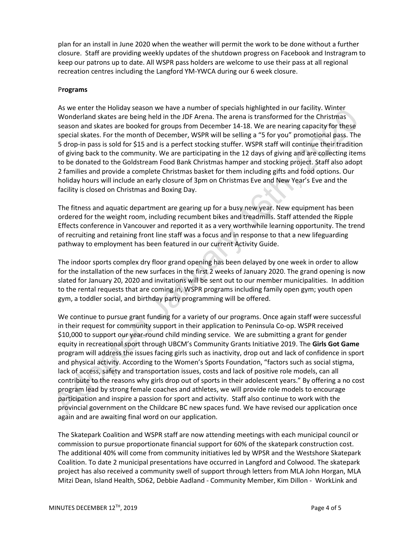plan for an install in June 2020 when the weather will permit the work to be done without a further closure. Staff are providing weekly updates of the shutdown progress on Facebook and Instragram to keep our patrons up to date. All WSPR pass holders are welcome to use their pass at all regional recreation centres including the Langford YM-YWCA during our 6 week closure.

#### P**rograms**

As we enter the Holiday season we have a number of specials highlighted in our facility. Winter Wonderland skates are being held in the JDF Arena. The arena is transformed for the Christmas season and skates are booked for groups from December 14-18. We are nearing capacity for these special skates. For the month of December, WSPR will be selling a "5 for you" promotional pass. The 5 drop-in pass is sold for \$15 and is a perfect stocking stuffer. WSPR staff will continue their tradition of giving back to the community. We are participating in the 12 days of giving and are collecting items to be donated to the Goldstream Food Bank Christmas hamper and stocking project. Staff also adopt 2 families and provide a complete Christmas basket for them including gifts and food options. Our holiday hours will include an early closure of 3pm on Christmas Eve and New Year's Eve and the facility is closed on Christmas and Boxing Day.

The fitness and aquatic department are gearing up for a busy new year. New equipment has been ordered for the weight room, including recumbent bikes and treadmills. Staff attended the Ripple Effects conference in Vancouver and reported it as a very worthwhile learning opportunity. The trend of recruiting and retaining front line staff was a focus and in response to that a new lifeguarding pathway to employment has been featured in our current Activity Guide.

The indoor sports complex dry floor grand opening has been delayed by one week in order to allow for the installation of the new surfaces in the first 2 weeks of January 2020. The grand opening is now slated for January 20, 2020 and invitations will be sent out to our member municipalities. In addition to the rental requests that are coming in, WSPR programs including family open gym; youth open gym, a toddler social, and birthday party programming will be offered.

We continue to pursue grant funding for a variety of our programs. Once again staff were successful in their request for community support in their application to Peninsula Co-op. WSPR received \$10,000 to support our year-round child minding service. We are submitting a grant for gender equity in recreational sport through UBCM's Community Grants Initiative 2019. The **Girls Got Game** program will address the issues facing girls such as inactivity, drop out and lack of confidence in sport and physical activity. According to the Women's Sports Foundation, "factors such as social stigma, lack of access, safety and transportation issues, costs and lack of positive role models, can all contribute to the reasons why girls drop out of sports in their adolescent years." By offering a no cost program lead by strong female coaches and athletes, we will provide role models to encourage participation and inspire a passion for sport and activity. Staff also continue to work with the provincial government on the Childcare BC new spaces fund. We have revised our application once again and are awaiting final word on our application.

The Skatepark Coalition and WSPR staff are now attending meetings with each municipal council or commission to pursue proportionate financial support for 60% of the skatepark construction cost. The additional 40% will come from community initiatives led by WPSR and the Westshore Skatepark Coalition. To date 2 municipal presentations have occurred in Langford and Colwood. The skatepark project has also received a community swell of support through letters from MLA John Horgan, MLA Mitzi Dean, Island Health, SD62, Debbie Aadland - Community Member, Kim Dillon - WorkLink and